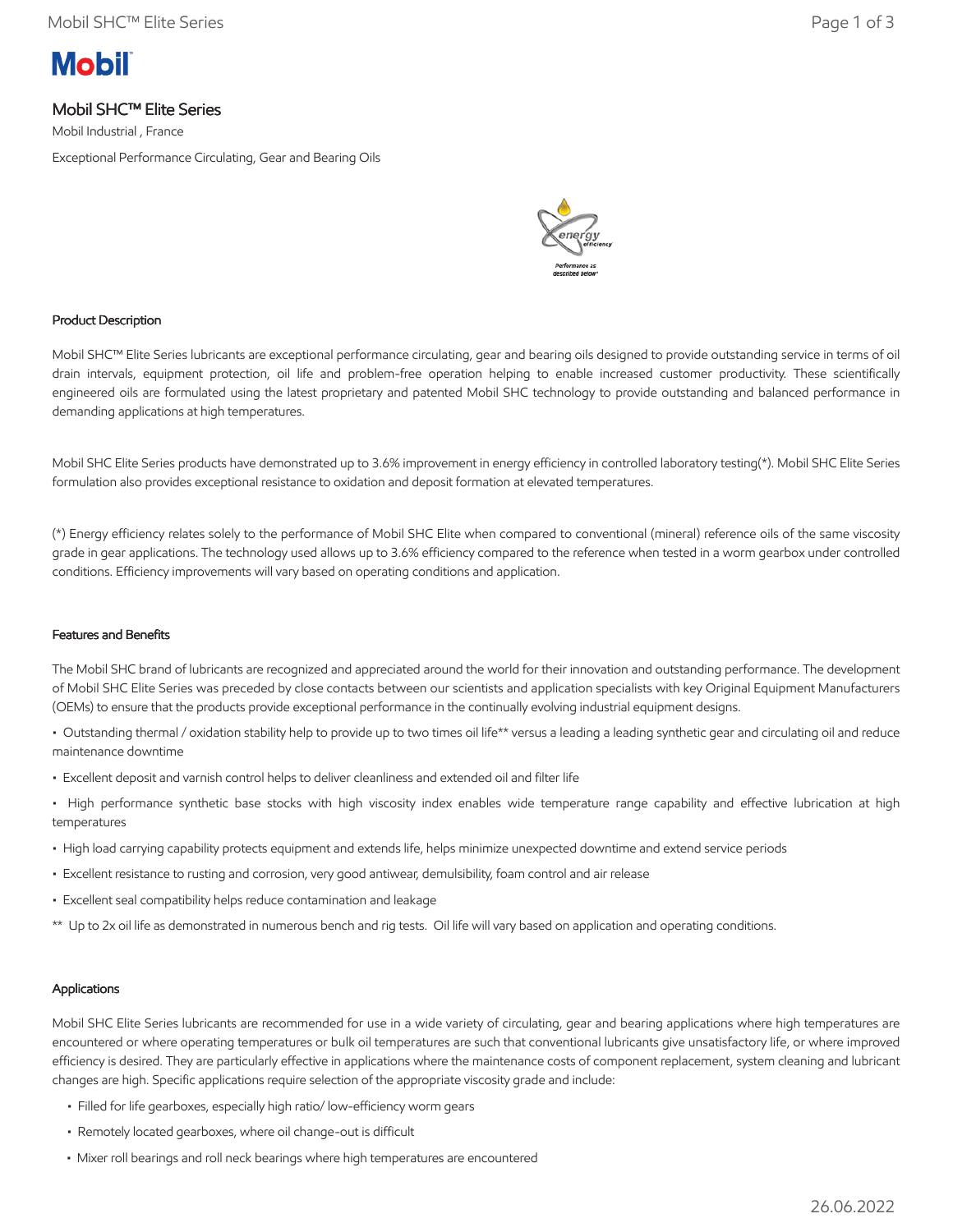# **Mobil**

# Mobil SHC™ Elite Series

Mobil Industrial , France

Exceptional Performance Circulating, Gear and Bearing Oils



# Product Description

Mobil SHC™ Elite Series lubricants are exceptional performance circulating, gear and bearing oils designed to provide outstanding service in terms of oil drain intervals, equipment protection, oil life and problem-free operation helping to enable increased customer productivity. These scientifically engineered oils are formulated using the latest proprietary and patented Mobil SHC technology to provide outstanding and balanced performance in demanding applications at high temperatures.

Mobil SHC Elite Series products have demonstrated up to 3.6% improvement in energy efficiency in controlled laboratory testing(\*). Mobil SHC Elite Series formulation also provides exceptional resistance to oxidation and deposit formation at elevated temperatures.

(\*) Energy efficiency relates solely to the performance of Mobil SHC Elite when compared to conventional (mineral) reference oils of the same viscosity grade in gear applications. The technology used allows up to 3.6% efficiency compared to the reference when tested in a worm gearbox under controlled conditions. Efficiency improvements will vary based on operating conditions and application.

#### Features and Benefits

The Mobil SHC brand of lubricants are recognized and appreciated around the world for their innovation and outstanding performance. The development of Mobil SHC Elite Series was preceded by close contacts between our scientists and application specialists with key Original Equipment Manufacturers (OEMs) to ensure that the products provide exceptional performance in the continually evolving industrial equipment designs.

• Outstanding thermal / oxidation stability help to provide up to two times oil life\*\* versus a leading a leading synthetic gear and circulating oil and reduce maintenance downtime

- Excellent deposit and varnish control helps to deliver cleanliness and extended oil and filter life
- High performance synthetic base stocks with high viscosity index enables wide temperature range capability and effective lubrication at high temperatures
- High load carrying capability protects equipment and extends life, helps minimize unexpected downtime and extend service periods
- Excellent resistance to rusting and corrosion, very good antiwear, demulsibility, foam control and air release
- Excellent seal compatibility helps reduce contamination and leakage
- \*\* Up to 2x oil life as demonstrated in numerous bench and rig tests. Oil life will vary based on application and operating conditions.

# Applications

Mobil SHC Elite Series lubricants are recommended for use in a wide variety of circulating, gear and bearing applications where high temperatures are encountered or where operating temperatures or bulk oil temperatures are such that conventional lubricants give unsatisfactory life, or where improved efficiency is desired. They are particularly effective in applications where the maintenance costs of component replacement, system cleaning and lubricant changes are high. Specific applications require selection of the appropriate viscosity grade and include:

- Filled for life gearboxes, especially high ratio/ low-efficiency worm gears
- Remotely located gearboxes, where oil change-out is difficult
- Mixer roll bearings and roll neck bearings where high temperatures are encountered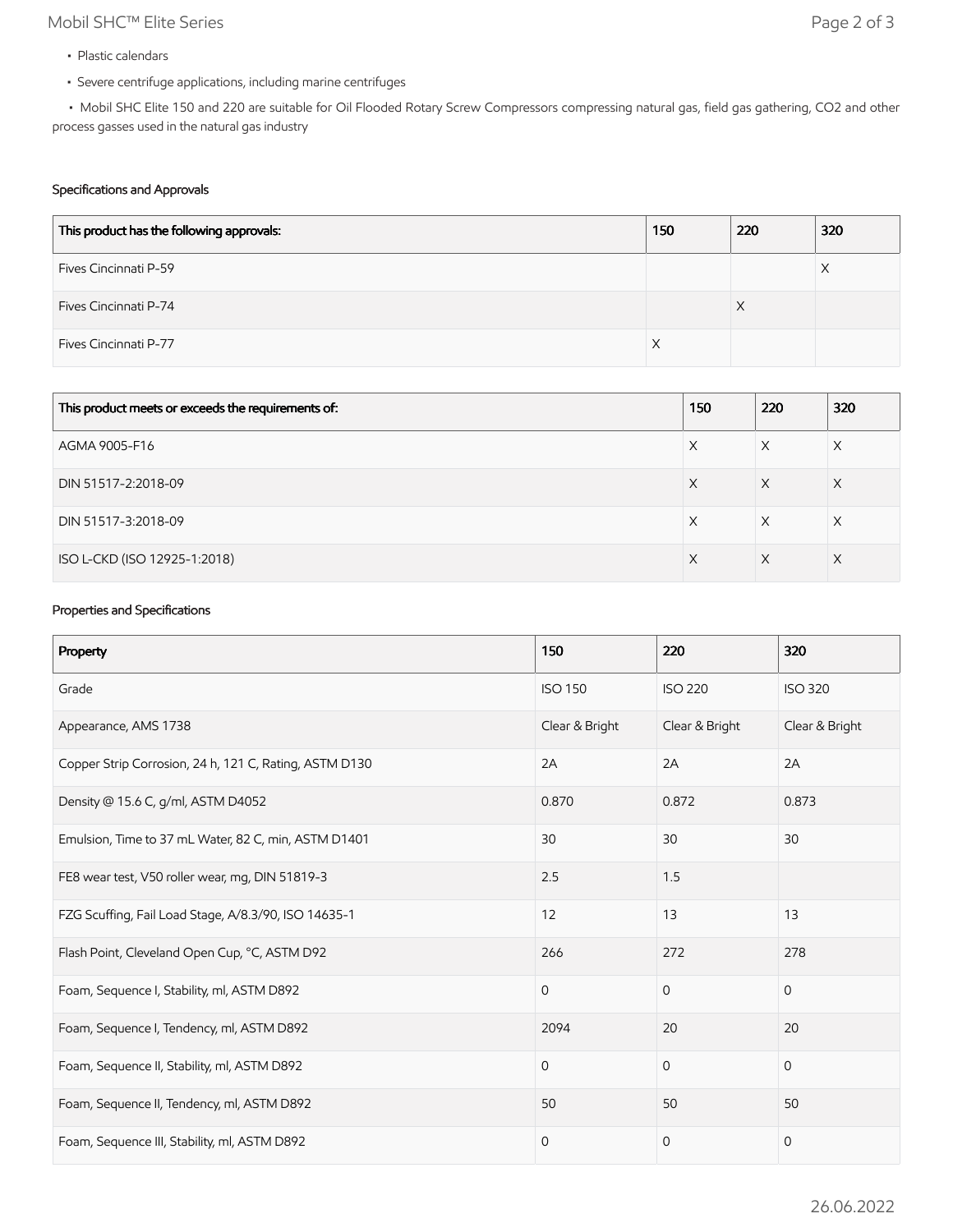# Mobil SHC™ Elite Series Page 2 of 3

- Plastic calendars
- Severe centrifuge applications, including marine centrifuges

 • Mobil SHC Elite 150 and 220 are suitable for Oil Flooded Rotary Screw Compressors compressing natural gas, field gas gathering, CO2 and other process gasses used in the natural gas industry

# Specifications and Approvals

| This product has the following approvals: | 150 | 220 | 320 |
|-------------------------------------------|-----|-----|-----|
| Fives Cincinnati P-59                     |     |     | Х   |
| Fives Cincinnati P-74                     |     | X   |     |
| Fives Cincinnati P-77                     |     |     |     |

| This product meets or exceeds the requirements of: | 150 | 220 | 320 |
|----------------------------------------------------|-----|-----|-----|
| AGMA 9005-F16                                      | Х   | X   | X   |
| DIN 51517-2:2018-09                                | X   | X   | Χ   |
| DIN 51517-3:2018-09                                | Х   | X   | X   |
| ISO L-CKD (ISO 12925-1:2018)                       | X   | X   | X   |

#### Properties and Specifications

| Property                                               | 150            | 220            | 320            |
|--------------------------------------------------------|----------------|----------------|----------------|
| Grade                                                  | <b>ISO 150</b> | <b>ISO 220</b> | <b>ISO 320</b> |
| Appearance, AMS 1738                                   | Clear & Bright | Clear & Bright | Clear & Bright |
| Copper Strip Corrosion, 24 h, 121 C, Rating, ASTM D130 | 2A             | 2A             | 2A             |
| Density @ 15.6 C, g/ml, ASTM D4052                     | 0.870          | 0.872          | 0.873          |
| Emulsion, Time to 37 mL Water, 82 C, min, ASTM D1401   | 30             | 30             | 30             |
| FE8 wear test, V50 roller wear, mg, DIN 51819-3        | 2.5            | 1.5            |                |
| FZG Scuffing, Fail Load Stage, A/8.3/90, ISO 14635-1   | 12             | 13             | 13             |
| Flash Point, Cleveland Open Cup, °C, ASTM D92          | 266            | 272            | 278            |
| Foam, Sequence I, Stability, ml, ASTM D892             | $\mathbf 0$    | $\mathbf 0$    | $\mathbf{0}$   |
| Foam, Sequence I, Tendency, ml, ASTM D892              | 2094           | 20             | 20             |
| Foam, Sequence II, Stability, ml, ASTM D892            | $\mathbf 0$    | $\mathbf{0}$   | $\mathbf{0}$   |
| Foam, Sequence II, Tendency, ml, ASTM D892             | 50             | 50             | 50             |
| Foam, Sequence III, Stability, ml, ASTM D892           | $\mathbf 0$    | $\mathbf{0}$   | $\mathbf 0$    |